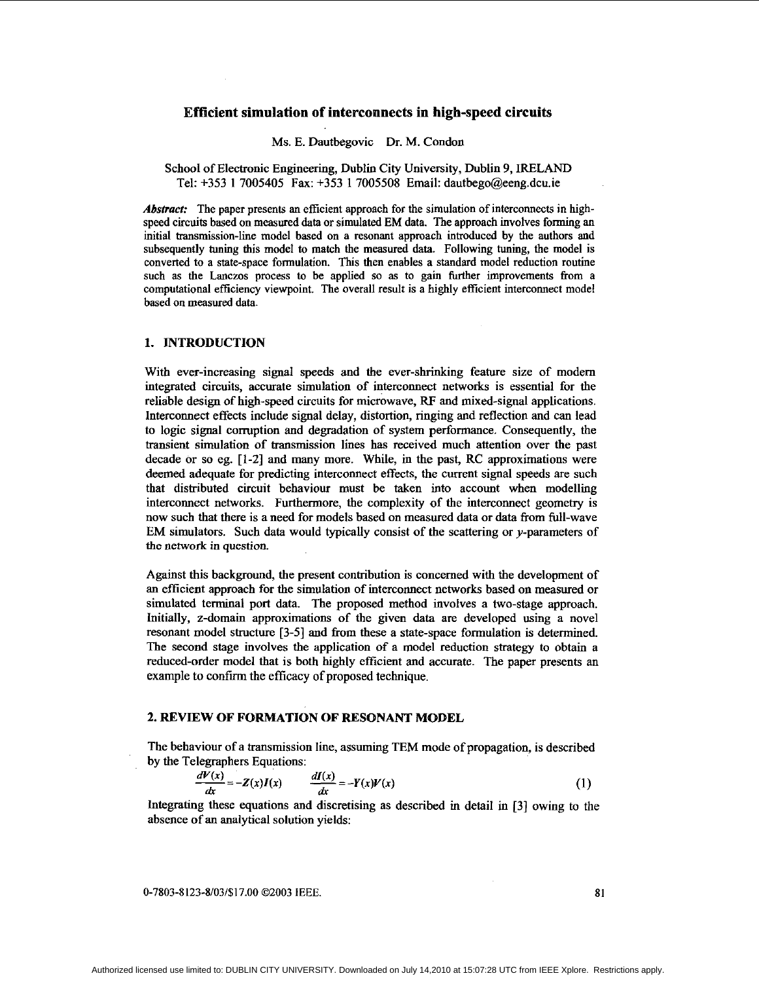# **Efficient simulation of interconnects in high-speed circuits**

### Ms. E. Dautbegovic Dr. M. Condon

# School of Electronic Engineering, Dublin City University, Dublin 9, IRELAND Tel: **+353 1 7005405** Fax: **+353 1 7005508** Email: dautbego@eeng.dcu.ie

*Abseacf:* The paper presents **an** efficient approach for the simulation of interconnects in highspeed circuits based on measured data or simulated EM data. The approach involves forming **an**  initial transmission-lie model based on a resonant approach introduced by the authors and subsequently tuning this model to match the measured **data.** Following tuning, the model is converted to a state-space formulation. This then enables a standard model reduction routine such as the Lanczos process to be applied so as to gain further improvements from a computational efficiency viewpoint. The overall result is a highly efficient interconnect model based **on** measured data.

# **1. MTRODUCTIQN**

With ever-increasing signal speeds and the ever-shrinking feature size of modem integrated circuits, accurate simulation of interconnect networks is essential for the reliable design of high-speed circuits for microwave, RF and mixed-signal applications. Interconnect effects include signal delay, distortion, ringing and reflection and can lead to logic signal corruption and degradation of system performance. Consequently, the transient simulation *of* transmission lines has received much attention over the past decade or so eg. **[l-21** and many more. While, in the past, RC approximations were deemed adequate for predicting interconnect effects, the current signal speeds are such that distributed circuit behaviour must be taken into account when modelling interconnect networks. Furthermore, the complexity of the interconnect geometry is now such that there is a need for models based on measured data or data from full-wave EM simulators. Such data would typically consist of the scattering or y-parameters of the network in question.

Against this background, the present contribution is concerned with the development of an efficient approach for the simulation *of* interconnect networks based on measured or simulated terminal port data. The proposed method involves a two-stage approach. Initially, z-domain approximations of the given data are developed using a novel resonant model structure **[3-51** and from these a state-space formulation is determined. The second stage involves the application of a model reduction strategy to obtain a reduced-order model that is both highly efficient and accurate. The paper presents an example to confirm the efficacy of proposed technique.

**2. REVIEW OF FORMATION OF RESONANT MODEL**<br>
The behaviour of a transmission line, assuming TEM mode of<br>
by the Telegraphers Equations:<br>  $\frac{dV(x)}{dx} = -Z(x)I(x)$   $\frac{dI(x)}{dx} = -Y(x)V(x)$ <br>
Integrating these equations and discretisin The behaviour of a transmission line, assuming TEM mode of propagation, is described by the Telegraphers Equations:

$$
\frac{dV(x)}{dx} = -Z(x)I(x) \qquad \frac{dI(x)}{dx} = -Y(x)V(x) \tag{1}
$$

Integrating these equations and discretising as described in detail in **[3]** owing **to** the absence of **an** analytical solution yields:

0-7803-8123-8/03/\$17.00 02003 **IEEE.** 81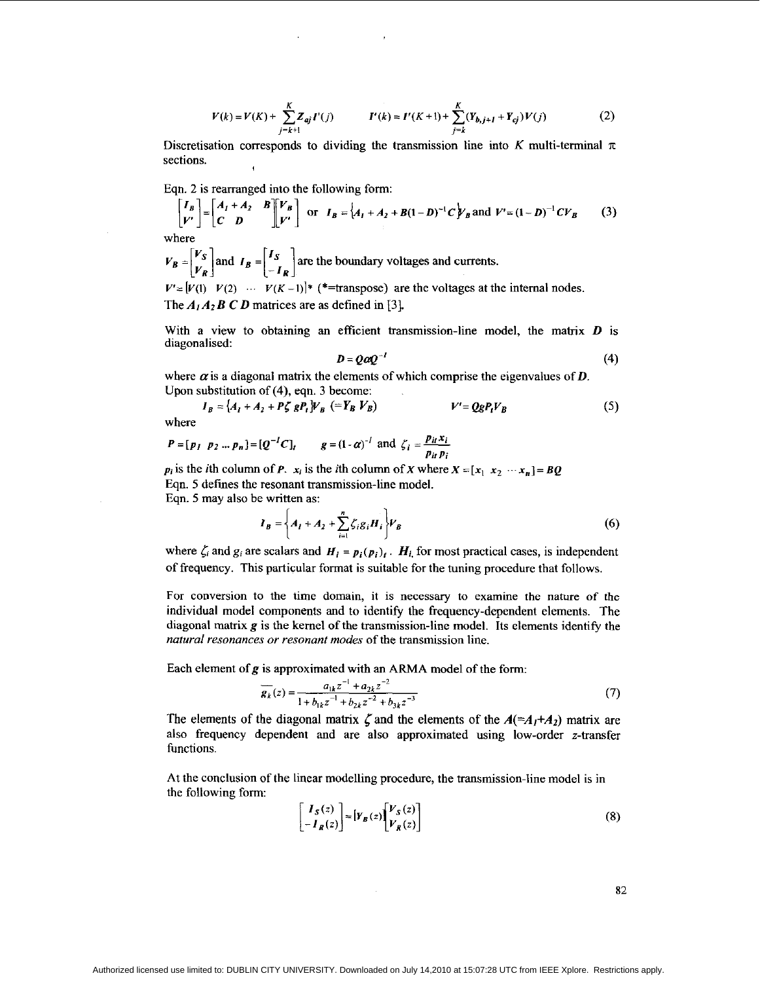$$
V(k) = V(K) + \sum_{j=k+1}^{K} Z_{aj} I'(j) \qquad I'(k) = I'(K+1) + \sum_{j=k}^{K} (Y_{b,j+1} + Y_{cj}) V(j) \tag{2}
$$

Discretisation corresponds to dividing the transmission line into *K* multi-terminal  $\pi$ sections.

Eqn. 2 is rearranged into the following form:

$$
\begin{bmatrix} I_B \\ V' \end{bmatrix} = \begin{bmatrix} A_I + A_2 & B \\ C & D \end{bmatrix} \begin{bmatrix} V_B \\ V' \end{bmatrix}
$$
 or  $I_B = \begin{bmatrix} A_I + A_2 + B(1 - D)^{-1}C \end{bmatrix} \begin{bmatrix} V_B \end{bmatrix}$  and  $V' = (1 - D)^{-1}CV_B$  (3)

where

 $V_B = \begin{bmatrix} V_S \\ V_R \end{bmatrix}$  and  $I_B = \begin{bmatrix} I_S \\ -I_R \end{bmatrix}$  are the boundary voltages and currents.  $V' = [V(1) \quad V(2) \quad \cdots \quad V(K-1)]^*$  (\*=transpose) are the voltages at the internal nodes. The  $A_1A_2BCD$  matrices are as defined in [3].

With a view to obtaining **an** efficient transmission-line model, the matrix *D* is diagonalised:

$$
D = Q \alpha Q^{-1} \tag{4}
$$

where  $\alpha$  is a diagonal matrix the elements of which comprise the eigenvalues of  $\boldsymbol{D}$ . Upon substitution of **(4),** eqn. 3 become:

$$
I_B = \{A_I + A_2 + P\zeta gP_t\}V_B \quad (\equiv Y_B V_B) \qquad V' = QgP_tV_B \tag{5}
$$

where

$$
P = [p_I \ p_2 \dots p_n] = [Q^{-1}C]_t
$$
  $g = (1 - \alpha)^{-1}$  and  $\zeta_i = \frac{p_{it}x_i}{p_{it}p_i}$ 

 $p_i$  is the *i*th column of *P.*  $x_i$  is the *i*th column of *X* where  $X = [x_1 \ x_2 \ \cdots \ x_n] = BQ$ Eqn. 5 defmes the resonant transmission-line model. Eqn. *5* may also be written as:

$$
I_B = \left\{ A_I + A_2 + \sum_{i=1}^n \zeta_i g_i H_i \right\} V_B
$$
 (6)

where  $\zeta_i$  and  $g_i$  are scalars and  $H_i = p_i(p_i)_i$ .  $H_i$  for most practical cases, is independent of frequency. This particular format is suitable for the tuning procedure that follows.

For conversion to the time domain, it is necessary to examine the nature of the individual model components and **to** identify the frequency-dependent elements. The diagonal matrix *g* is the kernel of the transmission-line model. Its elements identify the *natural resonances* or *resonant modes* of the transmission line.

Each element of  $g$  is approximated with an ARMA model of the form:

$$
\overline{\mathbf{g}_k}(z) = \frac{a_{1k}z^{-1} + a_{2k}z^{-2}}{1 + b_{1k}z^{-1} + b_{2k}z^{-2} + b_{3k}z^{-3}}
$$
(7)

The elements of the diagonal matrix  $\zeta$  and the elements of the  $A(=A_1+A_2)$  matrix are also frequency dependent and are also approximated using low-order z-transfer functions.

At the conclusion of the linear modelling procedure, the transmission-line model is in the following form:

$$
\begin{bmatrix} I_S(z) \\ -I_R(z) \end{bmatrix} = \begin{bmatrix} Y_B(z) \end{bmatrix} \begin{bmatrix} V_S(z) \\ V_R(z) \end{bmatrix}
$$
 (8)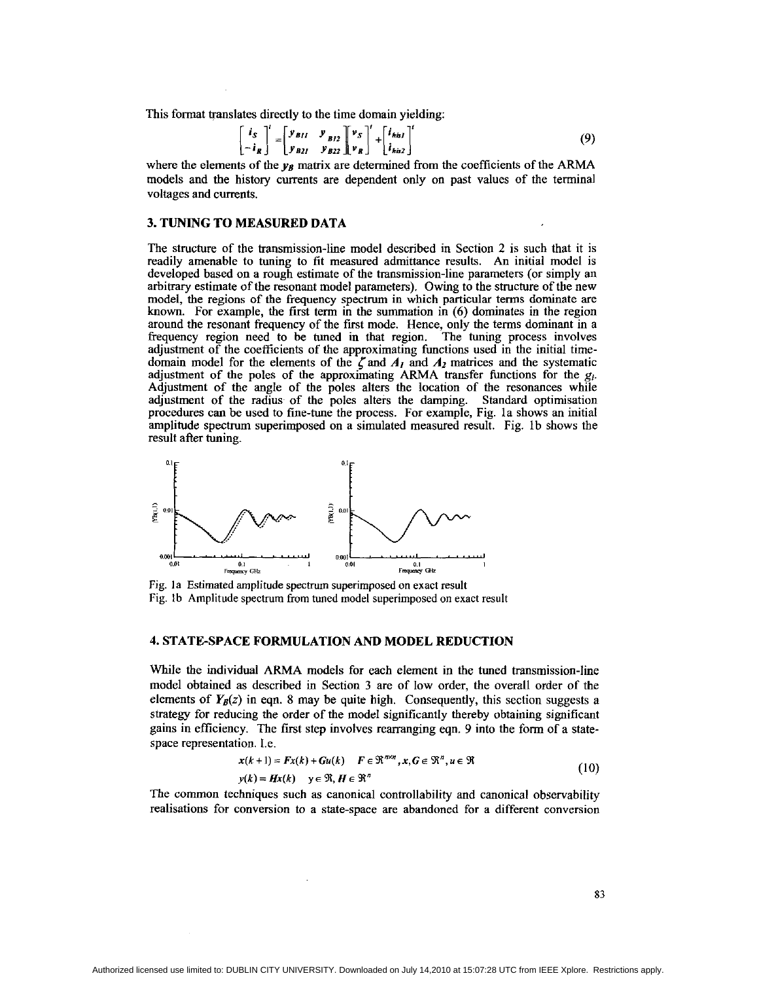This format translates directly to the time domain yielding:

$$
\begin{bmatrix} i_S \\ -i_R \end{bmatrix}' = \begin{bmatrix} y_{B11} & y_{B12} \\ y_{B21} & y_{B22} \end{bmatrix} \begin{bmatrix} v_S \\ v_R \end{bmatrix}' + \begin{bmatrix} i_{hisJ} \\ i_{his2} \end{bmatrix}' \tag{9}
$$

where the elements of the  $y_B$  matrix are determined from the coefficients of the ARMA models and the history currents are dependent only on past values of the terminal voltages and currents.

## **3. TUNING TO MEASURED DATA**

The structure of the transmission-line model described in Section 2 is such that it is readily amenable to tuning to fit measured admittance results. An initial model is developed based on a rough estimate of the transmission-line parameters (or simply an arbitrary estimate of the resonant model parameters). Owing to the structure of the new model, the regions of the frequency spectrum in which particular terms dominate are known. For example, the first term in the summation in (6) dominates in the region around the resonant frequency of the first mode. Hence, only the terms dominant in a frequency region need to be tuned in that region. The tuning process involves adjustment of the coefficients of the approximating functions used in the initial timedomain model for the elements of the  $\zeta$  and  $A_1$  and  $A_2$  matrices and the systematic adjustment of the poles of the approximating ARMA transfer functions for the *gi.*  Adjustment of the angle of the poles alters the location of the resonances while adjustment of the radius. of the poles alters the damping. Standard optimisation procedures can be used to fine-tune the process. For example, Fig. la shows an initial amplitude spectrum superimposed on a simulated measured result. Fig. lb shows the around the resonant frequency of the first mode. Hence, only the terms dominant in a frequency region need to be tuned in that region. The tuning process involves adjustment of the coefficients of the  $\zeta$  and  $A_I$  and



Fig. la Estimated amplitude spectrum superimposed on exact result Fig. lb Amplitude spectrum from tuned model superimposed on exact result

# **4. STATE-SPACE FORMULATION AND MODEL REDUCTION**

While the individual ARMA models for each element in the tuned transmission-line model obtained as described in Section 3 are of low order, the overall order of the elements of  $Y_B(z)$  in eqn. 8 may be quite high. Consequently, this section suggests a strategy for reducing the order of the model significantly thereby obtaining significant gains in efficiency. The first step involves rearranging eqn. 9 into the form of a statespace representation. 1.e.

$$
x(k+1) = Fx(k) + Gu(k) \quad F \in \mathbb{R}^{n \times n}, x, G \in \mathbb{R}^n, u \in \mathbb{R}
$$
  

$$
y(k) = Hx(k) \quad y \in \mathbb{R}, H \in \mathbb{R}^n
$$
 (10)

The common techniques such as canonical controllability and canonical observahility realisations for conversion to a state-space are abandoned for a different conversion